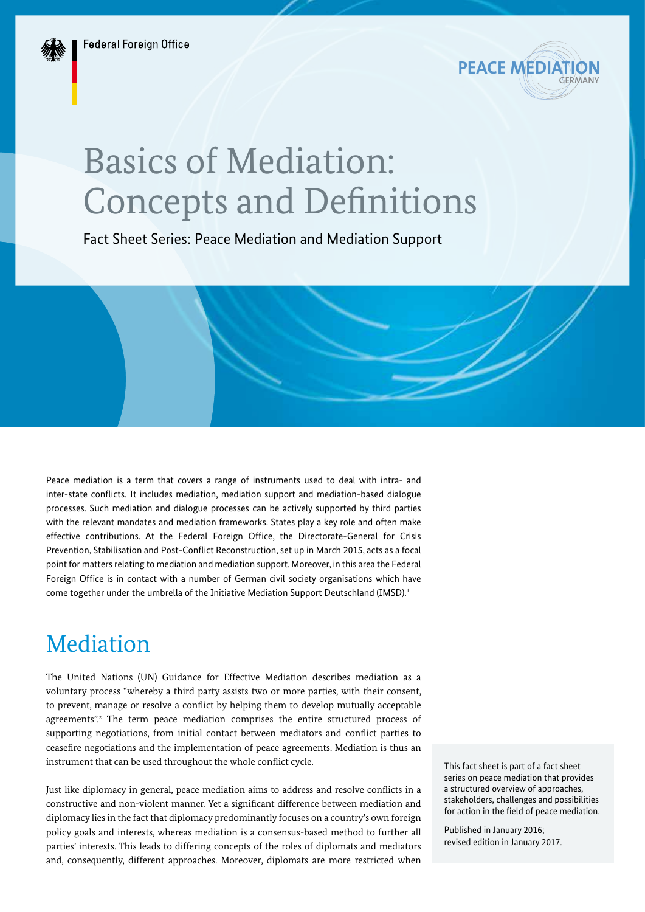

# Basics of Mediation: Concepts and Definitions

Fact Sheet Series: Peace Mediation and Mediation Support

Peace mediation is a term that covers a range of instruments used to deal with intra- and inter-state conflicts. It includes mediation, mediation support and mediation-based dialogue processes. Such mediation and dialogue processes can be actively supported by third parties with the relevant mandates and mediation frameworks. States play a key role and often make effective contributions. At the Federal Foreign Office, the Directorate-General for Crisis Prevention, Stabilisation and Post-Conflict Reconstruction, set up in March 2015, acts as a focal point for matters relating to mediation and mediation support. Moreover, in this area the Federal Foreign Office is in contact with a number of German civil society organisations which have come together under the umbrella of the Initiative Mediation Support Deutschland (IMSD).<sup>1</sup>

### Mediation

The United Nations (UN) Guidance for Effective Mediation describes mediation as a voluntary process "whereby a third party assists two or more parties, with their consent, to prevent, manage or resolve a conflict by helping them to develop mutually acceptable agreements".<sup>2</sup> The term peace mediation comprises the entire structured process of supporting negotiations, from initial contact between mediators and conflict parties to ceasefire negotiations and the implementation of peace agreements. Mediation is thus an instrument that can be used throughout the whole conflict cycle.

Just like diplomacy in general, peace mediation aims to address and resolve conflicts in a constructive and non-violent manner. Yet a significant difference between mediation and diplomacy lies in the fact that diplomacy predominantly focuses on a country's own foreign policy goals and interests, whereas mediation is a consensus-based method to further all parties' interests. This leads to differing concepts of the roles of diplomats and mediators and, consequently, different approaches. Moreover, diplomats are more restricted when

This fact sheet is part of a fact sheet series on peace mediation that provides a structured overview of approaches, stakeholders, challenges and possibilities for action in the field of peace mediation.

Published in January 2016; revised edition in January 2017.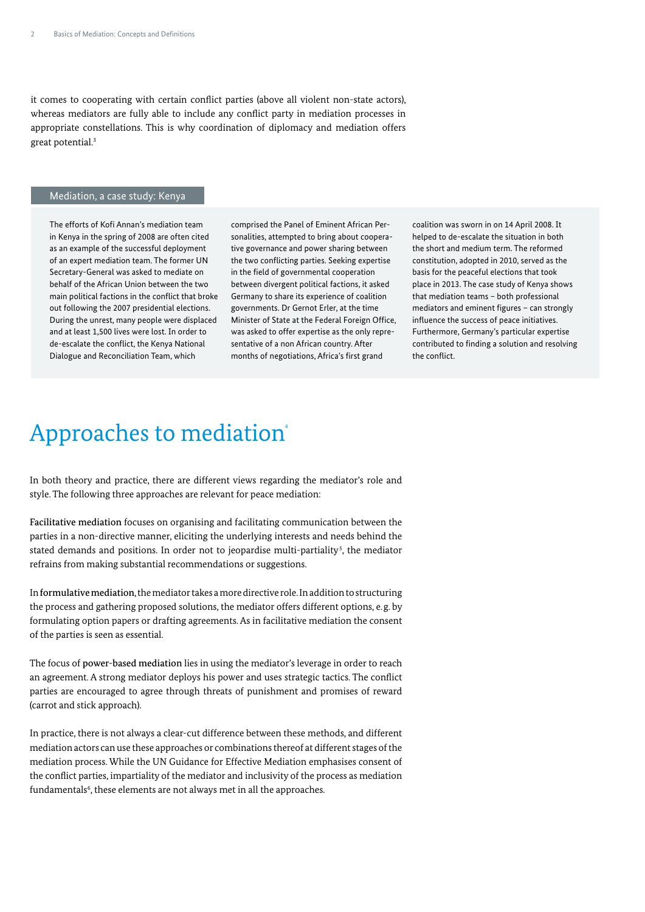it comes to cooperating with certain conflict parties (above all violent non-state actors), whereas mediators are fully able to include any conflict party in mediation processes in appropriate constellations. This is why coordination of diplomacy and mediation offers great potential.3

#### Mediation, a case study: Kenya

The efforts of Kofi Annan's mediation team in Kenya in the spring of 2008 are often cited as an example of the successful deployment of an expert mediation team. The former UN Secretary-General was asked to mediate on behalf of the African Union between the two main political factions in the conflict that broke out following the 2007 presidential elections. During the unrest, many people were displaced and at least 1,500 lives were lost. In order to de-escalate the conflict, the Kenya National Dialogue and Reconciliation Team, which

comprised the Panel of Eminent African Personalities, attempted to bring about cooperative governance and power sharing between the two conflicting parties. Seeking expertise in the field of governmental cooperation between divergent political factions, it asked Germany to share its experience of coalition governments. Dr Gernot Erler, at the time Minister of State at the Federal Foreign Office, was asked to offer expertise as the only representative of a non African country. After months of negotiations, Africa's first grand

coalition was sworn in on 14 April 2008. It helped to de-escalate the situation in both the short and medium term. The reformed constitution, adopted in 2010, served as the basis for the peaceful elections that took place in 2013. The case study of Kenya shows that mediation teams – both professional mediators and eminent figures – can strongly influence the success of peace initiatives. Furthermore, Germany's particular expertise contributed to finding a solution and resolving the conflict.

### Approaches to mediation<sup>4</sup>

In both theory and practice, there are different views regarding the mediator's role and style. The following three approaches are relevant for peace mediation:

Facilitative mediation focuses on organising and facilitating communication between the parties in a non-directive manner, eliciting the underlying interests and needs behind the stated demands and positions. In order not to jeopardise multi-partiality<sup>5</sup>, the mediator refrains from making substantial recommendations or suggestions.

In formulative mediation, the mediator takes a more directive role. In addition to structuring the process and gathering proposed solutions, the mediator offers different options, e.g. by formulating option papers or drafting agreements. As in facilitative mediation the consent of the parties is seen as essential.

The focus of power-based mediation lies in using the mediator's leverage in order to reach an agreement. A strong mediator deploys his power and uses strategic tactics. The conflict parties are encouraged to agree through threats of punishment and promises of reward (carrot and stick approach).

In practice, there is not always a clear-cut difference between these methods, and different mediation actors can use these approaches or combinations thereof at different stages of the mediation process. While the UN Guidance for Effective Mediation emphasises consent of the conflict parties, impartiality of the mediator and inclusivity of the process as mediation fundamentals $\mathfrak{s}$ , these elements are not always met in all the approaches.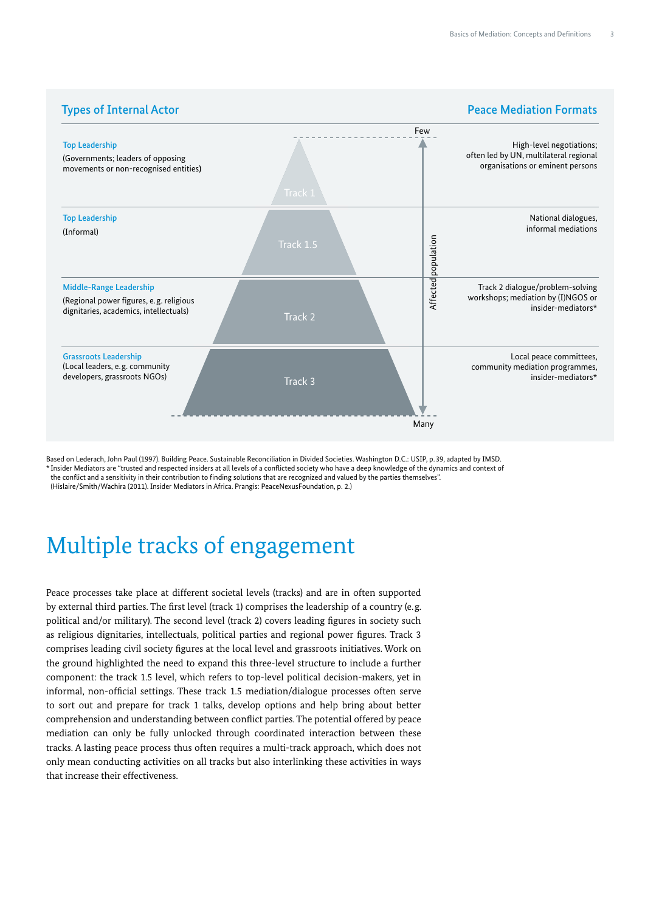

Based on Lederach, John Paul (1997). Building Peace. Sustainable Reconciliation in Divided Societies. Washington D.C.: USIP, p.39, adapted by IMSD. \* Insider Mediators are "trusted and respected insiders at all levels of a conflicted society who have a deep knowledge of the dynamics and context of the conflict and a sensitivity in their contribution to finding solutions that are recognized and valued by the parties themselves". (Hislaire/Smith/Wachira (2011). Insider Mediators in Africa. Prangis: PeaceNexusFoundation, p. 2.)

### Multiple tracks of engagement

Peace processes take place at different societal levels (tracks) and are in often supported by external third parties. The first level (track 1) comprises the leadership of a country (e.g. political and/or military). The second level (track 2) covers leading figures in society such as religious dignitaries, intellectuals, political parties and regional power figures. Track 3 comprises leading civil society figures at the local level and grassroots initiatives. Work on the ground highlighted the need to expand this three-level structure to include a further component: the track 1.5 level, which refers to top-level political decision-makers, yet in informal, non-official settings. These track 1.5 mediation/dialogue processes often serve to sort out and prepare for track 1 talks, develop options and help bring about better comprehension and understanding between conflict parties. The potential offered by peace mediation can only be fully unlocked through coordinated interaction between these tracks. A lasting peace process thus often requires a multi-track approach, which does not only mean conducting activities on all tracks but also interlinking these activities in ways that increase their effectiveness.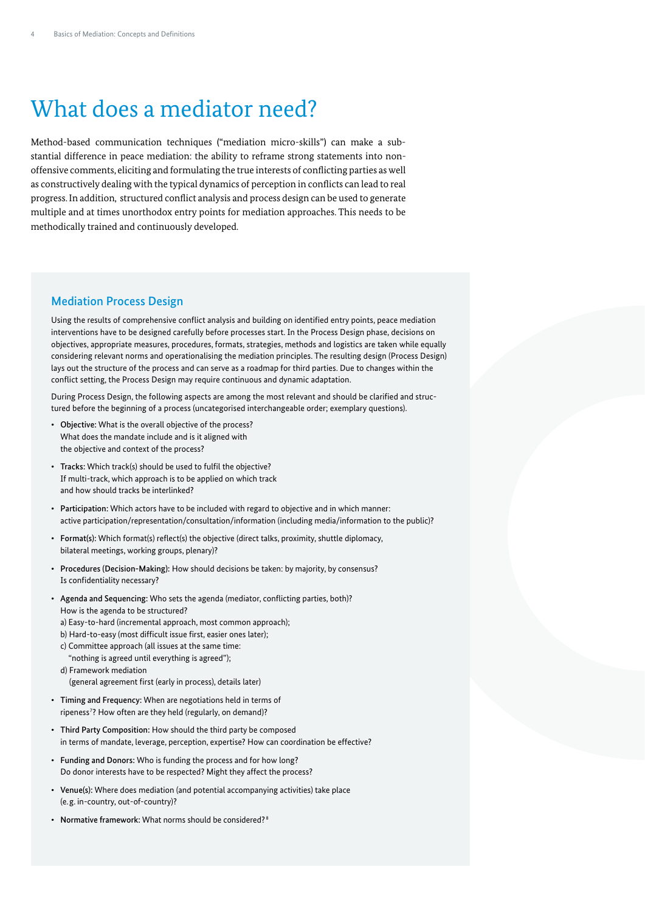## What does a mediator need?

Method-based communication techniques ("mediation micro-skills") can make a substantial difference in peace mediation: the ability to reframe strong statements into nonoffensive comments, eliciting and formulating the true interests of conflicting parties as well as constructively dealing with the typical dynamics of perception in conflicts can lead to real progress. In addition, structured conflict analysis and process design can be used to generate multiple and at times unorthodox entry points for mediation approaches. This needs to be methodically trained and continuously developed.

#### Mediation Process Design

Using the results of comprehensive conflict analysis and building on identified entry points, peace mediation interventions have to be designed carefully before processes start. In the Process Design phase, decisions on objectives, appropriate measures, procedures, formats, strategies, methods and logistics are taken while equally considering relevant norms and operationalising the mediation principles. The resulting design (Process Design) lays out the structure of the process and can serve as a roadmap for third parties. Due to changes within the conflict setting, the Process Design may require continuous and dynamic adaptation.

During Process Design, the following aspects are among the most relevant and should be clarified and structured before the beginning of a process (uncategorised interchangeable order; exemplary questions).

- Objective: What is the overall objective of the process? What does the mandate include and is it aligned with the objective and context of the process?
- Tracks: Which track(s) should be used to fulfil the objective? If multi-track, which approach is to be applied on which track and how should tracks be interlinked?
- Participation: Which actors have to be included with regard to objective and in which manner: active participation/representation/consultation/information (including media/information to the public)?
- Format(s): Which format(s) reflect(s) the objective (direct talks, proximity, shuttle diplomacy, bilateral meetings, working groups, plenary)?
- Procedures (Decision-Making): How should decisions be taken: by majority, by consensus? Is confidentiality necessary?
- Agenda and Sequencing: Who sets the agenda (mediator, conflicting parties, both)? How is the agenda to be structured? a) Easy-to-hard (incremental approach, most common approach); b) Hard-to-easy (most difficult issue first, easier ones later); c) Committee approach (all issues at the same time:
	- "nothing is agreed until everything is agreed"); d) Framework mediation
		- (general agreement first (early in process), details later)
- Timing and Frequency: When are negotiations held in terms of ripeness<sup>7</sup>? How often are they held (regularly, on demand)?
- Third Party Composition: How should the third party be composed in terms of mandate, leverage, perception, expertise? How can coordination be effective?
- Funding and Donors: Who is funding the process and for how long? Do donor interests have to be respected? Might they affect the process?
- Venue(s): Where does mediation (and potential accompanying activities) take place (e.g. in-country, out-of-country)?
- Normative framework: What norms should be considered?<sup>8</sup>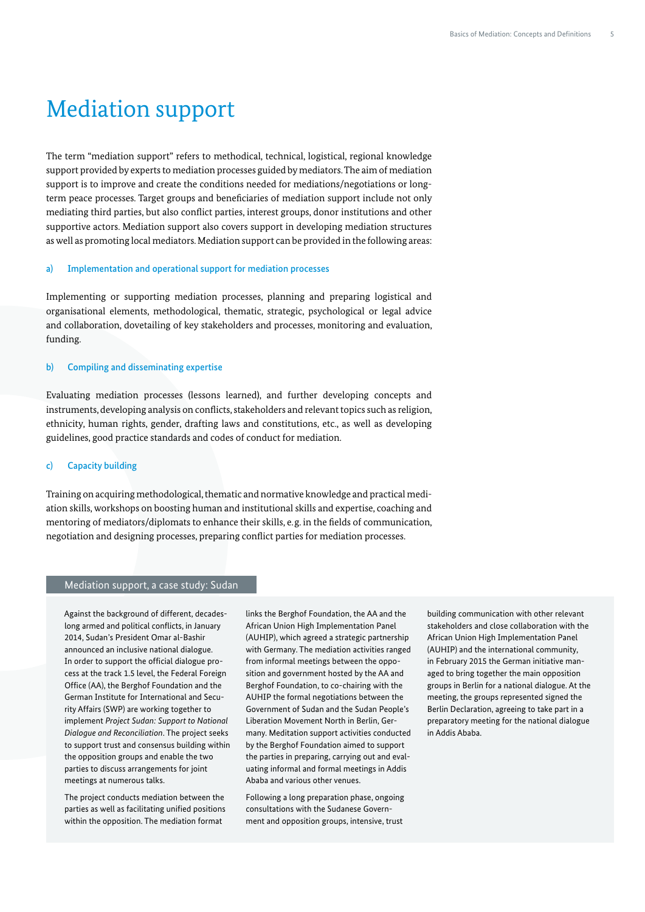### Mediation support

The term "mediation support" refers to methodical, technical, logistical, regional knowledge support provided by experts to mediation processes guided by mediators. The aim of mediation support is to improve and create the conditions needed for mediations/negotiations or longterm peace processes. Target groups and beneficiaries of mediation support include not only mediating third parties, but also conflict parties, interest groups, donor institutions and other supportive actors. Mediation support also covers support in developing mediation structures as well as promoting local mediators. Mediation support can be provided in the following areas:

#### a) Implementation and operational support for mediation processes

Implementing or supporting mediation processes, planning and preparing logistical and organisational elements, methodological, thematic, strategic, psychological or legal advice and collaboration, dovetailing of key stakeholders and processes, monitoring and evaluation, funding.

#### b) Compiling and disseminating expertise

Evaluating mediation processes (lessons learned), and further developing concepts and instruments, developing analysis on conflicts, stakeholders and relevant topics such as religion, ethnicity, human rights, gender, drafting laws and constitutions, etc., as well as developing guidelines, good practice standards and codes of conduct for mediation.

#### c) Capacity building

Training on acquiring methodological, thematic and normative knowledge and practical mediation skills, workshops on boosting human and institutional skills and expertise, coaching and mentoring of mediators/diplomats to enhance their skills, e.g. in the fields of communication, negotiation and designing processes, preparing conflict parties for mediation processes.

#### Mediation support, a case study: Sudan

Against the background of different, decadeslong armed and political conflicts, in January 2014, Sudan's President Omar al-Bashir announced an inclusive national dialogue. In order to support the official dialogue process at the track 1.5 level, the Federal Foreign Office (AA), the Berghof Foundation and the German Institute for International and Security Affairs (SWP) are working together to implement *Project Sudan: Support to National Dialogue and Reconciliation*. The project seeks to support trust and consensus building within the opposition groups and enable the two parties to discuss arrangements for joint meetings at numerous talks.

The project conducts mediation between the parties as well as facilitating unified positions within the opposition. The mediation format

links the Berghof Foundation, the AA and the African Union High Implementation Panel (AUHIP), which agreed a strategic partnership with Germany. The mediation activities ranged from informal meetings between the opposition and government hosted by the AA and Berghof Foundation, to co-chairing with the AUHIP the formal negotiations between the Government of Sudan and the Sudan People's Liberation Movement North in Berlin, Germany. Meditation support activities conducted by the Berghof Foundation aimed to support the parties in preparing, carrying out and evaluating informal and formal meetings in Addis Ababa and various other venues.

Following a long preparation phase, ongoing consultations with the Sudanese Government and opposition groups, intensive, trust

building communication with other relevant stakeholders and close collaboration with the African Union High Implementation Panel (AUHIP) and the international community, in February 2015 the German initiative managed to bring together the main opposition groups in Berlin for a national dialogue. At the meeting, the groups represented signed the Berlin Declaration, agreeing to take part in a preparatory meeting for the national dialogue in Addis Ababa.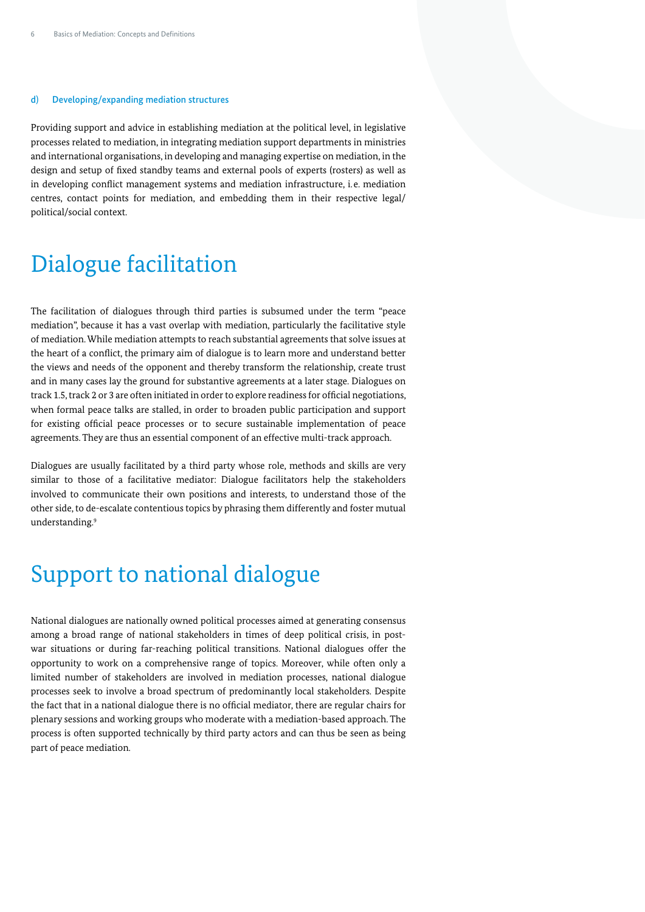#### d) Developing/expanding mediation structures

Providing support and advice in establishing mediation at the political level, in legislative processes related to mediation, in integrating mediation support departments in ministries and international organisations, in developing and managing expertise on mediation, in the design and setup of fixed standby teams and external pools of experts (rosters) as well as in developing conflict management systems and mediation infrastructure, i.e. mediation centres, contact points for mediation, and embedding them in their respective legal/ political/social context.

### Dialogue facilitation

The facilitation of dialogues through third parties is subsumed under the term "peace mediation", because it has a vast overlap with mediation, particularly the facilitative style of mediation. While mediation attempts to reach substantial agreements that solve issues at the heart of a conflict, the primary aim of dialogue is to learn more and understand better the views and needs of the opponent and thereby transform the relationship, create trust and in many cases lay the ground for substantive agreements at a later stage. Dialogues on track 1.5, track 2 or 3 are often initiated in order to explore readiness for official negotiations, when formal peace talks are stalled, in order to broaden public participation and support for existing official peace processes or to secure sustainable implementation of peace agreements. They are thus an essential component of an effective multi-track approach.

Dialogues are usually facilitated by a third party whose role, methods and skills are very similar to those of a facilitative mediator: Dialogue facilitators help the stakeholders involved to communicate their own positions and interests, to understand those of the other side, to de-escalate contentious topics by phrasing them differently and foster mutual understanding.9

### Support to national dialogue

National dialogues are nationally owned political processes aimed at generating consensus among a broad range of national stakeholders in times of deep political crisis, in postwar situations or during far-reaching political transitions. National dialogues offer the opportunity to work on a comprehensive range of topics. Moreover, while often only a limited number of stakeholders are involved in mediation processes, national dialogue processes seek to involve a broad spectrum of predominantly local stakeholders. Despite the fact that in a national dialogue there is no official mediator, there are regular chairs for plenary sessions and working groups who moderate with a mediation-based approach. The process is often supported technically by third party actors and can thus be seen as being part of peace mediation.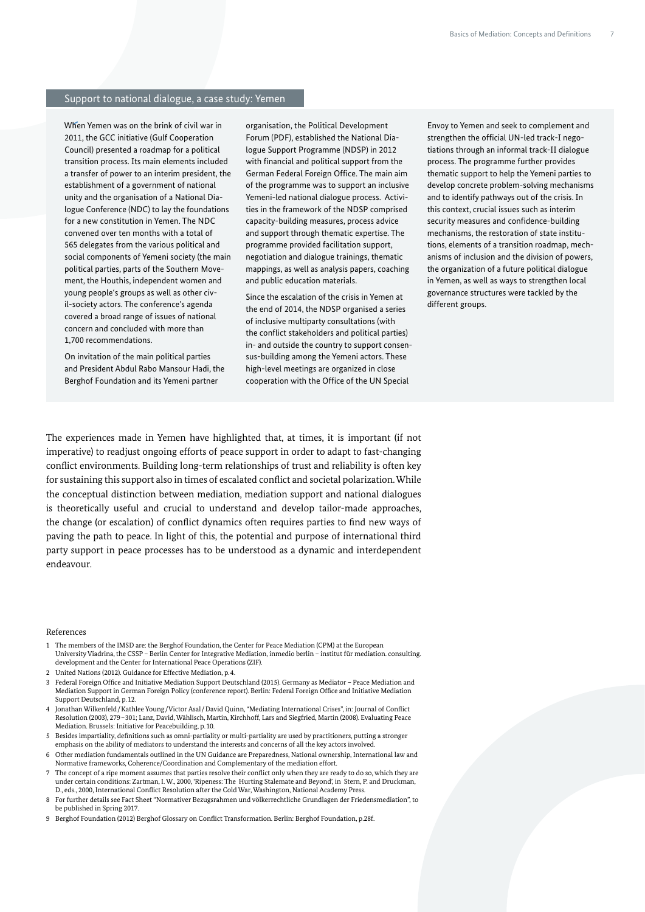#### Support to national dialogue, a case study: Yemen

When Yemen was on the brink of civil war in 2011, the GCC initiative (Gulf Cooperation Council) presented a roadmap for a political transition process. Its main elements included a transfer of power to an interim president, the establishment of a government of national unity and the organisation of a National Dialogue Conference (NDC) to lay the foundations for a new constitution in Yemen. The NDC convened over ten months with a total of 565 delegates from the various political and social components of Yemeni society (the main political parties, parts of the Southern Movement, the Houthis, independent women and young people's groups as well as other civil-society actors. The conference's agenda covered a broad range of issues of national concern and concluded with more than 1,700 recommendations.

On invitation of the main political parties and President Abdul Rabo Mansour Hadi, the Berghof Foundation and its Yemeni partner

organisation, the Political Development Forum (PDF), established the National Dialogue Support Programme (NDSP) in 2012 with financial and political support from the German Federal Foreign Office. The main aim of the programme was to support an inclusive Yemeni-led national dialogue process. Activities in the framework of the NDSP comprised capacity-building measures, process advice and support through thematic expertise. The programme provided facilitation support, negotiation and dialogue trainings, thematic mappings, as well as analysis papers, coaching and public education materials.

Since the escalation of the crisis in Yemen at the end of 2014, the NDSP organised a series of inclusive multiparty consultations (with the conflict stakeholders and political parties) in- and outside the country to support consensus-building among the Yemeni actors. These high-level meetings are organized in close cooperation with the Office of the UN Special

Envoy to Yemen and seek to complement and strengthen the official UN-led track-I negotiations through an informal track-II dialogue process. The programme further provides thematic support to help the Yemeni parties to develop concrete problem-solving mechanisms and to identify pathways out of the crisis. In this context, crucial issues such as interim security measures and confidence-building mechanisms, the restoration of state institutions, elements of a transition roadmap, mechanisms of inclusion and the division of powers, the organization of a future political dialogue in Yemen, as well as ways to strengthen local governance structures were tackled by the different groups.

The experiences made in Yemen have highlighted that, at times, it is important (if not imperative) to readjust ongoing efforts of peace support in order to adapt to fast-changing conflict environments. Building long-term relationships of trust and reliability is often key for sustaining this support also in times of escalated conflict and societal polarization. While the conceptual distinction between mediation, mediation support and national dialogues is theoretically useful and crucial to understand and develop tailor-made approaches, the change (or escalation) of conflict dynamics often requires parties to find new ways of paving the path to peace. In light of this, the potential and purpose of international third party support in peace processes has to be understood as a dynamic and interdependent endeavour.

#### References

- 1 The members of the IMSD are: the Berghof Foundation, the Center for Peace Mediation (CPM) at the European University Viadrina, the CSSP – Berlin Center for Integrative Mediation, inmedio berlin – institut für mediation. consulting. development and the Center for International Peace Operations (ZIF).
- 2 United Nations (2012). Guidance for Effective Mediation, p.4.
- 3 Federal Foreign Office and Initiative Mediation Support Deutschland (2015). Germany as Mediator Peace Mediation and Mediation Support in German Foreign Policy (conference report). Berlin: Federal Foreign Office and Initiative Mediation Support Deutschland, p.12.
- 4 Jonathan Wilkenfeld/Kathlee Young/Victor Asal/David Quinn, "Mediating International Crises", in: Journal of Conflict Resolution (2003), 279–301; Lanz, David, Wählisch, Martin, Kirchhoff, Lars and Siegfried, Martin (2008). Evaluating Peace Mediation. Brussels: Initiative for Peacebuilding, p.10.
- 5 Besides impartiality, definitions such as omni-partiality or multi-partiality are used by practitioners, putting a stronger<br>emphasis on the ability of mediators to understand the interests and concerns of all the key act
- 6 Other mediation fundamentals outlined in the UN Guidance are Preparedness, National ownership, International law and Normative frameworks, Coherence/Coordination and Complementary of the mediation effort.
- 7 The concept of a ripe moment assumes that parties resolve their conflict only when they are ready to do so, which they are under certain conditions: Zartman, I. W., 2000, 'Ripeness: The Hurting Stalemate and Beyond', in Stern, P. and Druckman, D., eds., 2000, International Conflict Resolution after the Cold War, Washington, National Academy Press.
- 8 For further details see Fact Sheet "Normativer Bezugsrahmen und völkerrechtliche Grundlagen der Friedensmediation", to be published in Spring 2017.
- 9 Berghof Foundation (2012) Berghof Glossary on Conflict Transformation. Berlin: Berghof Foundation, p.28f.